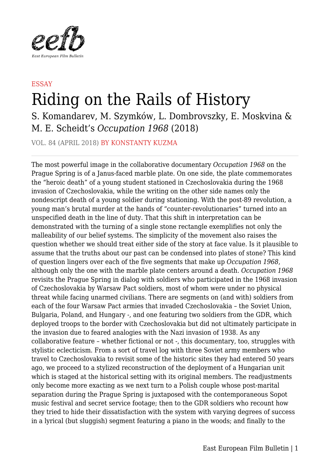

## **ESSAY** Riding on the Rails of History

S. Komandarev, M. Szymków, L. Dombrovszky, E. Moskvina & M. E. Scheidt's *Occupation 1968* (2018)

VOL. 84 (APRIL 2018) BY KONSTANTY KUZMA

The most powerful image in the collaborative documentary *Occupation 1968* on the Prague Spring is of a Janus-faced marble plate. On one side, the plate commemorates the "heroic death" of a young student stationed in Czechoslovakia during the 1968 invasion of Czechoslovakia, while the writing on the other side names only the nondescript death of a young soldier during stationing. With the post-89 revolution, a young man's brutal murder at the hands of "counter-revolutionaries" turned into an unspecified death in the line of duty. That this shift in interpretation can be demonstrated with the turning of a single stone rectangle exemplifies not only the malleability of our belief systems. The simplicity of the movement also raises the question whether we should treat either side of the story at face value. Is it plausible to assume that the truths about our past can be condensed into plates of stone? This kind of question lingers over each of the five segments that make up *Occupation 1968*, although only the one with the marble plate centers around a death. *Occupation 1968* revisits the Prague Spring in dialog with soldiers who participated in the 1968 invasion of Czechoslovakia by Warsaw Pact soldiers, most of whom were under no physical threat while facing unarmed civilians. There are segments on (and with) soldiers from each of the four Warsaw Pact armies that invaded Czechoslovakia – the Soviet Union, Bulgaria, Poland, and Hungary -, and one featuring two soldiers from the GDR, which deployed troops to the border with Czechoslovakia but did not ultimately participate in the invasion due to feared analogies with the Nazi invasion of 1938. As any collaborative feature – whether fictional or not -, this documentary, too, struggles with stylistic eclecticism. From a sort of travel log with three Soviet army members who travel to Czechoslovakia to revisit some of the historic sites they had entered 50 years ago, we proceed to a stylized reconstruction of the deployment of a Hungarian unit which is staged at the historical setting with its original members. The readjustments only become more exacting as we next turn to a Polish couple whose post-marital separation during the Prague Spring is juxtaposed with the contemporaneous Sopot music festival and secret service footage; then to the GDR soldiers who recount how they tried to hide their dissatisfaction with the system with varying degrees of success in a lyrical (but sluggish) segment featuring a piano in the woods; and finally to the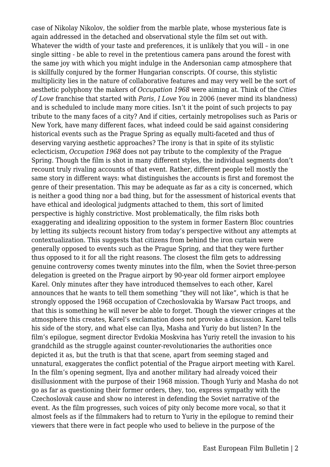case of Nikolay Nikolov, the soldier from the marble plate, whose mysterious fate is again addressed in the detached and observational style the film set out with. Whatever the width of your taste and preferences, it is unlikely that you will - in one single sitting - be able to revel in the pretentious camera pans around the forest with the same joy with which you might indulge in the Andersonian camp atmosphere that is skillfully conjured by the former Hungarian conscripts. Of course, this stylistic multiplicity lies in the nature of collaborative features and may very well be the sort of aesthetic polyphony the makers of *Occupation 1968* were aiming at. Think of the *Cities of Love* franchise that started with *Paris, I Love You* in 2006 (never mind its blandness) and is scheduled to include many more cities. Isn't it the point of such projects to pay tribute to the many faces of a city? And if cities, certainly metropolises such as Paris or New York, have many different faces, what indeed could be said against considering historical events such as the Prague Spring as equally multi-faceted and thus of deserving varying aesthetic approaches? The irony is that in spite of its stylistic eclecticism, *Occupation 1968* does not pay tribute to the complexity of the Prague Spring. Though the film is shot in many different styles, the individual segments don't recount truly rivaling accounts of that event. Rather, different people tell mostly the same story in different ways: what distinguishes the accounts is first and foremost the genre of their presentation. This may be adequate as far as a city is concerned, which is neither a good thing nor a bad thing, but for the assessment of historical events that have ethical and ideological judgments attached to them, this sort of limited perspective is highly constrictive. Most problematically, the film risks both exaggerating and idealizing opposition to the system in former Eastern Bloc countries by letting its subjects recount history from today's perspective without any attempts at contextualization. This suggests that citizens from behind the iron curtain were generally opposed to events such as the Prague Spring, and that they were further thus opposed to it for all the right reasons. The closest the film gets to addressing genuine controversy comes twenty minutes into the film, when the Soviet three-person delegation is greeted on the Prague airport by 90-year old former airport employee Karel. Only minutes after they have introduced themselves to each other, Karel announces that he wants to tell them something "they will not like", which is that he strongly opposed the 1968 occupation of Czechoslovakia by Warsaw Pact troops, and that this is something he will never be able to forget. Though the viewer cringes at the atmosphere this creates, Karel's exclamation does not provoke a discussion. Karel tells his side of the story, and what else can Ilya, Masha and Yuriy do but listen? In the film's epilogue, segment director Evdokia Moskvina has Yuriy retell the invasion to his grandchild as the struggle against counter-revolutionaries the authorities once depicted it as, but the truth is that that scene, apart from seeming staged and unnatural, exaggerates the conflict potential of the Prague airport meeting with Karel. In the film's opening segment, Ilya and another military had already voiced their disillusionment with the purpose of their 1968 mission. Though Yuriy and Masha do not go as far as questioning their former orders, they, too, express sympathy with the Czechoslovak cause and show no interest in defending the Soviet narrative of the event. As the film progresses, such voices of pity only become more vocal, so that it almost feels as if the filmmakers had to return to Yuriy in the epilogue to remind their viewers that there were in fact people who used to believe in the purpose of the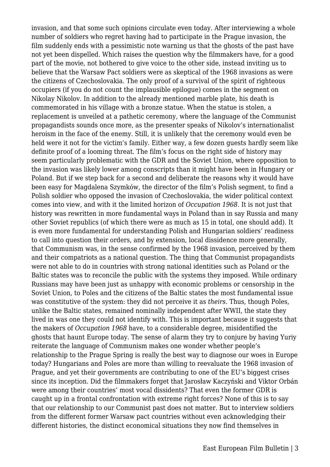invasion, and that some such opinions circulate even today. After interviewing a whole number of soldiers who regret having had to participate in the Prague invasion, the film suddenly ends with a pessimistic note warning us that the ghosts of the past have not yet been dispelled. Which raises the question why the filmmakers have, for a good part of the movie, not bothered to give voice to the other side, instead inviting us to believe that the Warsaw Pact soldiers were as skeptical of the 1968 invasions as were the citizens of Czechoslovakia. The only proof of a survival of the spirit of righteous occupiers (if you do not count the implausible epilogue) comes in the segment on Nikolay Nikolov. In addition to the already mentioned marble plate, his death is commemorated in his village with a bronze statue. When the statue is stolen, a replacement is unveiled at a pathetic ceremony, where the language of the Communist propagandists sounds once more, as the presenter speaks of Nikolov's internationalist heroism in the face of the enemy. Still, it is unlikely that the ceremony would even be held were it not for the victim's family. Either way, a few dozen guests hardly seem like definite proof of a looming threat. The film's focus on the right side of history may seem particularly problematic with the GDR and the Soviet Union, where opposition to the invasion was likely lower among conscripts than it might have been in Hungary or Poland. But if we step back for a second and deliberate the reasons why it would have been easy for Magdalena Szymków, the director of the film's Polish segment, to find a Polish soldier who opposed the invasion of Czechoslovakia, the wider political context comes into view, and with it the limited horizon of *Occupation 1968*. It is not just that history was rewritten in more fundamental ways in Poland than in say Russia and many other Soviet republics (of which there were as much as 15 in total, one should add). It is even more fundamental for understanding Polish and Hungarian soldiers' readiness to call into question their orders, and by extension, local dissidence more generally, that Communism was, in the sense confirmed by the 1968 invasion, perceived by them and their compatriots as a national question. The thing that Communist propagandists were not able to do in countries with strong national identities such as Poland or the Baltic states was to reconcile the public with the systems they imposed. While ordinary Russians may have been just as unhappy with economic problems or censorship in the Soviet Union, to Poles and the citizens of the Baltic states the most fundamental issue was constitutive of the system: they did not perceive it as *theirs*. Thus, though Poles, unlike the Baltic states, remained nominally independent after WWII, the state they lived in was one they could not identify with. This is important because it suggests that the makers of *Occupation 1968* have, to a considerable degree, misidentified the ghosts that haunt Europe today. The sense of alarm they try to conjure by having Yuriy reiterate the language of Communism makes one wonder whether people's relationship to the Prague Spring is really the best way to diagnose our woes in Europe today? Hungarians and Poles are more than willing to reevaluate the 1968 invasion of Prague, and yet their governments are contributing to one of the EU's biggest crises since its inception. Did the filmmakers forget that Jarosław Kaczyński and Viktor Orbán were among their countries' most vocal dissidents? That even the former GDR is caught up in a frontal confrontation with extreme right forces? None of this is to say that our relationship to our Communist past does not matter. But to interview soldiers from the different former Warsaw pact countries without even acknowledging their different histories, the distinct economical situations they now find themselves in